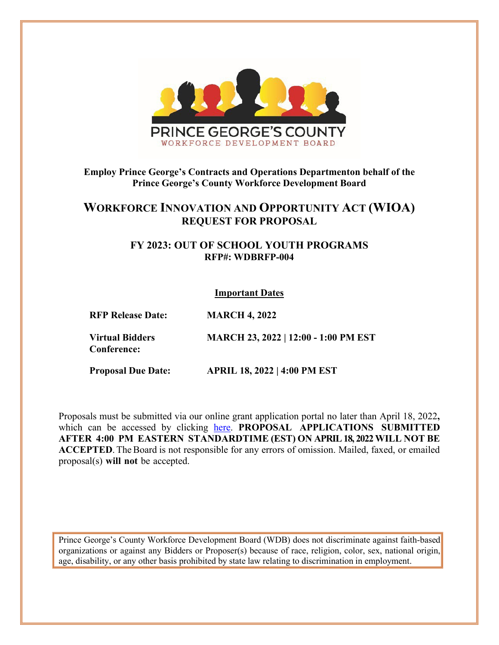

# **Employ Prince George's Contracts and Operations Departmenton behalf of the Prince George's County Workforce Development Board**

# **WORKFORCE INNOVATION AND OPPORTUNITY ACT (WIOA) REQUEST FOR PROPOSAL**

## **FY 2023: OUT OF SCHOOL YOUTH PROGRAMS RFP#: WDBRFP-004**

#### **Important Dates**

**RFP Release Date: MARCH 4, 2022**

**Virtual Bidders Conference: MARCH 23, 2022 | 12:00 - 1:00 PM EST**

**Proposal Due Date: APRIL 18, 2022 | 4:00 PM EST**

Proposals must be submitted via our online grant application portal no later than April 18, 2022**,**  which can be accessed by clicking [here.](https://www.grantrequest.com/SID_6250?SA=SNA&FID=35008) **PROPOSAL APPLICATIONS SUBMITTED AFTER 4:00 PM EASTERN STANDARDTIME (EST) ON APRIL 18, 2022WILL NOT BE** ACCEPTED. The Board is not responsible for any errors of omission. Mailed, faxed, or emailed proposal(s) **will not** be accepted.

Prince George's County Workforce Development Board (WDB) does not discriminate against faith-based organizations or against any Bidders or Proposer(s) because of race, religion, color, sex, national origin, age, disability, or any other basis prohibited by state law relating to discrimination in employment.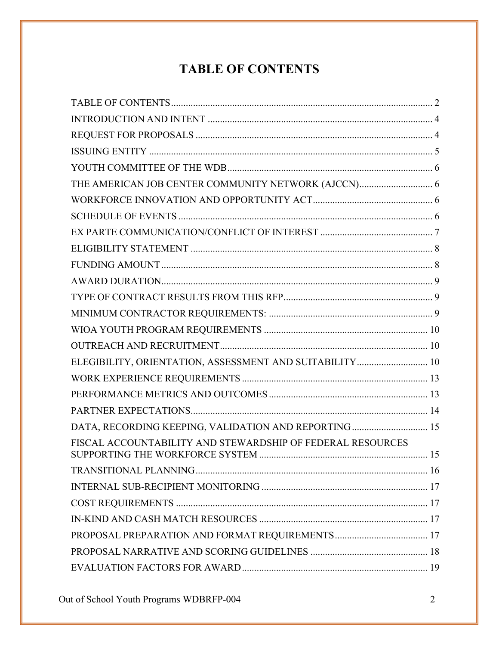# **TABLE OF CONTENTS**

<span id="page-1-0"></span>

| ELEGIBILITY, ORIENTATION, ASSESSMENT AND SUITABILITY 10    |  |
|------------------------------------------------------------|--|
|                                                            |  |
|                                                            |  |
|                                                            |  |
| DATA, RECORDING KEEPING, VALIDATION AND REPORTING  15      |  |
| FISCAL ACCOUNTABILITY AND STEWARDSHIP OF FEDERAL RESOURCES |  |
|                                                            |  |
|                                                            |  |
|                                                            |  |
|                                                            |  |
|                                                            |  |
|                                                            |  |
|                                                            |  |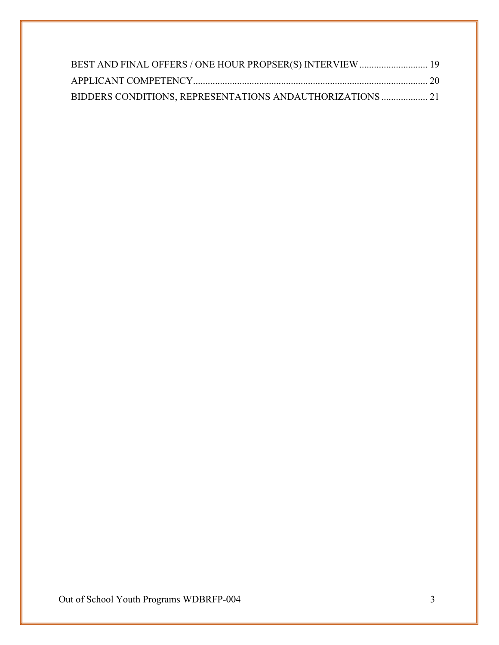| BEST AND FINAL OFFERS / ONE HOUR PROPSER(S) INTERVIEW  19  |  |
|------------------------------------------------------------|--|
|                                                            |  |
| BIDDERS CONDITIONS, REPRESENTATIONS AND AUTHORIZATIONS  21 |  |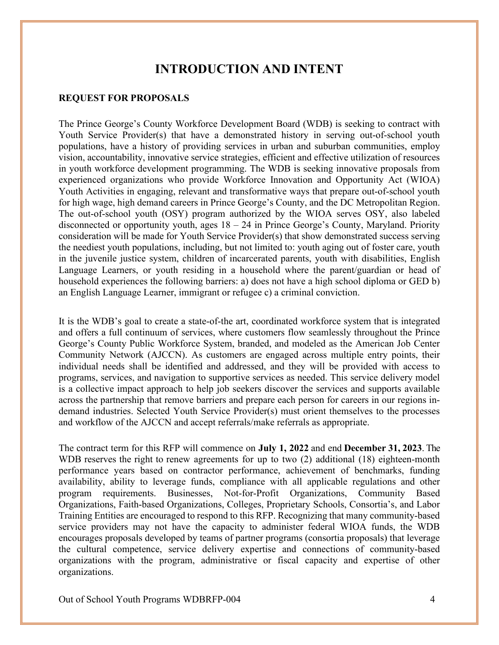# **INTRODUCTION AND INTENT**

#### <span id="page-3-1"></span><span id="page-3-0"></span>**REQUEST FOR PROPOSALS**

The Prince George's County Workforce Development Board (WDB) is seeking to contract with Youth Service Provider(s) that have a demonstrated history in serving out-of-school youth populations, have a history of providing services in urban and suburban communities, employ vision, accountability, innovative service strategies, efficient and effective utilization of resources in youth workforce development programming. The WDB is seeking innovative proposals from experienced organizations who provide Workforce Innovation and Opportunity Act (WIOA) Youth Activities in engaging, relevant and transformative ways that prepare out-of-school youth for high wage, high demand careers in Prince George's County, and the DC Metropolitan Region. The out-of-school youth (OSY) program authorized by the WIOA serves OSY, also labeled disconnected or opportunity youth, ages 18 – 24 in Prince George's County, Maryland. Priority consideration will be made for Youth Service Provider(s) that show demonstrated success serving the neediest youth populations, including, but not limited to: youth aging out of foster care, youth in the juvenile justice system, children of incarcerated parents, youth with disabilities, English Language Learners, or youth residing in a household where the parent/guardian or head of household experiences the following barriers: a) does not have a high school diploma or GED b) an English Language Learner, immigrant or refugee c) a criminal conviction.

It is the WDB's goal to create a state-of-the art, coordinated workforce system that is integrated and offers a full continuum of services, where customers flow seamlessly throughout the Prince George's County Public Workforce System, branded, and modeled as the American Job Center Community Network (AJCCN). As customers are engaged across multiple entry points, their individual needs shall be identified and addressed, and they will be provided with access to programs, services, and navigation to supportive services as needed. This service delivery model is a collective impact approach to help job seekers discover the services and supports available across the partnership that remove barriers and prepare each person for careers in our regions indemand industries. Selected Youth Service Provider(s) must orient themselves to the processes and workflow of the AJCCN and accept referrals/make referrals as appropriate.

The contract term for this RFP will commence on **July 1, 2022** and end **December 31, 2023**. The WDB reserves the right to renew agreements for up to two (2) additional (18) eighteen-month performance years based on contractor performance, achievement of benchmarks, funding availability, ability to leverage funds, compliance with all applicable regulations and other program requirements. Businesses, Not-for-Profit Organizations, Community Based Organizations, Faith-based Organizations, Colleges, Proprietary Schools, Consortia's, and Labor Training Entities are encouraged to respond to this RFP. Recognizing that many community-based service providers may not have the capacity to administer federal WIOA funds, the WDB encourages proposals developed by teams of partner programs (consortia proposals) that leverage the cultural competence, service delivery expertise and connections of community-based organizations with the program, administrative or fiscal capacity and expertise of other organizations.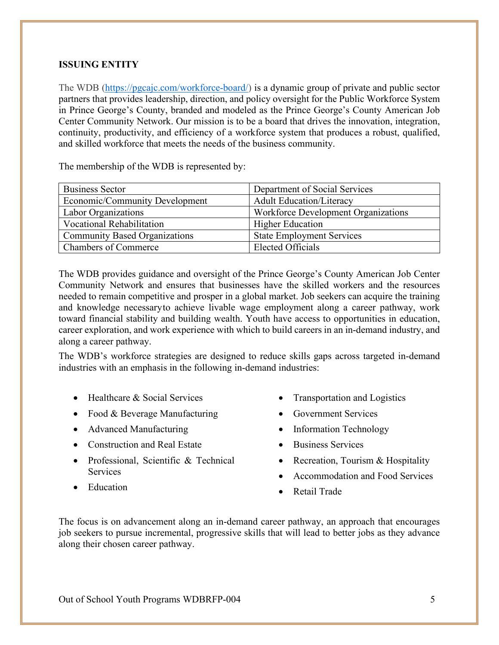## <span id="page-4-0"></span>**ISSUING ENTITY**

The [WDB](http://www.princegeorgesworkforce.org/) [\(https://pgcajc.com/workforce-board/\)](https://pgcajc.com/workforce-board/) [is](http://www.princegeorgesworkforce.org/) a dynamic group of private and public sector partners that provides leadership, direction, and policy oversight for the Public Workforce System in Prince George's County, branded and modeled as the Prince George's County American Job Center Community Network. Our mission is to be a board that drives the innovation, integration, continuity, productivity, and efficiency of a workforce system that produces a robust, qualified, and skilled workforce that meets the needs of the business community.

The membership of the WDB is represented by:

| <b>Business Sector</b>               | Department of Social Services              |
|--------------------------------------|--------------------------------------------|
| Economic/Community Development       | <b>Adult Education/Literacy</b>            |
| Labor Organizations                  | <b>Workforce Development Organizations</b> |
| <b>Vocational Rehabilitation</b>     | <b>Higher Education</b>                    |
| <b>Community Based Organizations</b> | <b>State Employment Services</b>           |
| <b>Chambers of Commerce</b>          | Elected Officials                          |

The WDB provides guidance and oversight of the Prince George's County American Job Center Community Network and ensures that businesses have the skilled workers and the resources needed to remain competitive and prosper in a global market. Job seekers can acquire the training and knowledge necessaryto achieve livable wage employment along a career pathway, work toward financial stability and building wealth. Youth have access to opportunities in education, career exploration, and work experience with which to build careers in an in-demand industry, and along a career pathway.

The WDB's workforce strategies are designed to reduce skills gaps across targeted in-demand industries with an emphasis in the following in-demand industries:

- Healthcare & Social Services
- Food & Beverage Manufacturing
- Advanced Manufacturing
- Construction and Real Estate
- Professional, Scientific & Technical **Services**
- Education
- Transportation and Logistics
- Government Services
- Information Technology
- Business Services
- Recreation, Tourism & Hospitality
- Accommodation and Food Services
- Retail Trade

The focus is on advancement along an in-demand career pathway, an approach that encourages job seekers to pursue incremental, progressive skills that will lead to better jobs as they advance along their chosen career pathway.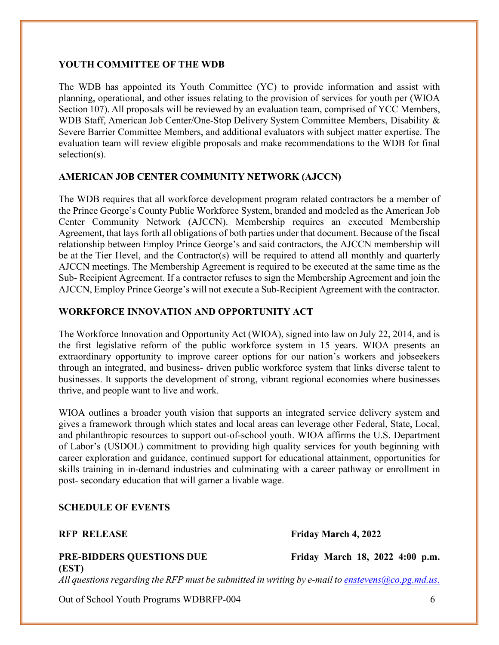#### <span id="page-5-0"></span>**YOUTH COMMITTEE OF THE WDB**

The WDB has appointed its Youth Committee (YC) to provide information and assist with planning, operational, and other issues relating to the provision of services for youth per (WIOA Section 107). All proposals will be reviewed by an evaluation team, comprised of YCC Members, WDB Staff, American Job Center/One-Stop Delivery System Committee Members, Disability & Severe Barrier Committee Members, and additional evaluators with subject matter expertise. The evaluation team will review eligible proposals and make recommendations to the WDB for final selection(s).

#### <span id="page-5-1"></span>**AMERICAN JOB CENTER COMMUNITY NETWORK (AJCCN)**

The WDB requires that all workforce development program related contractors be a member of the Prince George's County Public Workforce System, branded and modeled as the American Job Center Community Network (AJCCN). Membership requires an executed Membership Agreement, that lays forth all obligations of both parties under that document. Because of the fiscal relationship between Employ Prince George's and said contractors, the AJCCN membership will be at the Tier Ilevel, and the Contractor(s) will be required to attend all monthly and quarterly AJCCN meetings. The Membership Agreement is required to be executed at the same time as the Sub- Recipient Agreement. If a contractor refuses to sign the Membership Agreement and join the AJCCN, Employ Prince George's will not execute a Sub-Recipient Agreement with the contractor.

#### <span id="page-5-2"></span>**WORKFORCE INNOVATION AND OPPORTUNITY ACT**

The Workforce Innovation and Opportunity Act (WIOA), signed into law on July 22, 2014, and is the first legislative reform of the public workforce system in 15 years. WIOA presents an extraordinary opportunity to improve career options for our nation's workers and jobseekers through an integrated, and business- driven public workforce system that links diverse talent to businesses. It supports the development of strong, vibrant regional economies where businesses thrive, and people want to live and work.

WIOA outlines a broader youth vision that supports an integrated service delivery system and gives a framework through which states and local areas can leverage other Federal, State, Local, and philanthropic resources to support out-of-school youth. WIOA affirms the U.S. Department of Labor's (USDOL) commitment to providing high quality services for youth beginning with career exploration and guidance, continued support for educational attainment, opportunities for skills training in in-demand industries and culminating with a career pathway or enrollment in post- secondary education that will garner a livable wage.

#### <span id="page-5-3"></span>**SCHEDULE OF EVENTS**

#### **PRE-BIDDERS QUESTIONS DUE Friday March 18, 2022 4:00 p.m. (EST)**

*All questionsregarding the RFP must be submitted in writing by e-mail to [enstevens@co.pg.md.us.](mailto:enstevens@co.pg.md.us.)*

Out of School Youth Programs WDBRFP-004 6

**RFP RELEASE Friday March 4, 2022**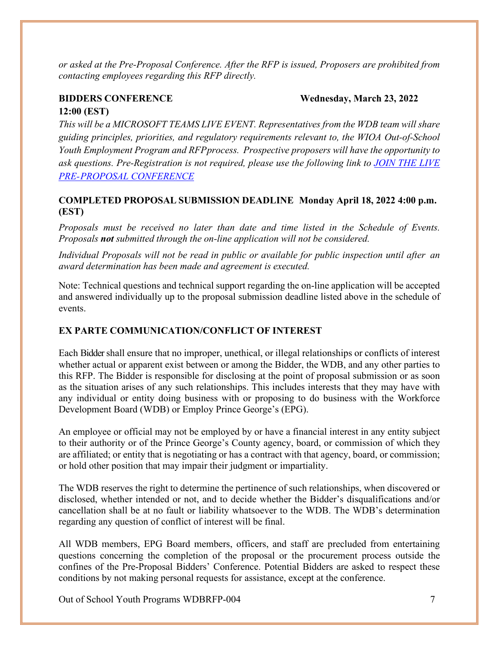*or asked at the Pre-Proposal Conference. After the RFP is issued, Proposers are prohibited from contacting employees regarding this RFP directly.*

#### **BIDDERS CONFERENCE Wednesday, March 23, 2022**

#### **12:00 (EST)**

*This will be a MICROSOFT TEAMS LIVE EVENT. Representatives from the WDB team will share guiding principles, priorities, and regulatory requirements relevant to, the WIOA Out-of-School Youth Employment Program and RFPprocess. Prospective proposers will have the opportunity to ask questions. Pre-Registration is not required, please use the following link to [JOIN THE LIVE](https://teams.microsoft.com/l/meetup-join/19%3ameeting_NDBjNjdhY2QtODgwMy00OGIyLWI1MWUtNmNlYmQ4OWZhMjlk%40thread.v2/0?context=%7b%22Tid%22%3a%224146bdda-ddc1-4d2a-a1b2-1a64cc3c837b%22%2c%22Oid%22%3a%22af2f9c33-2812-4f65-a4ce-e2c1d9d998a6%22%7d)  [PRE-PROPOSAL](https://teams.microsoft.com/l/meetup-join/19%3ameeting_NDBjNjdhY2QtODgwMy00OGIyLWI1MWUtNmNlYmQ4OWZhMjlk%40thread.v2/0?context=%7b%22Tid%22%3a%224146bdda-ddc1-4d2a-a1b2-1a64cc3c837b%22%2c%22Oid%22%3a%22af2f9c33-2812-4f65-a4ce-e2c1d9d998a6%22%7d) CONFERENCE*

# **COMPLETED PROPOSAL SUBMISSION DEADLINE Monday April 18, 2022 4:00 p.m. (EST)**

*Proposals must be received no later than date and time listed in the Schedule of Events. Proposals not submitted through the on-line application will not be considered.*

*Individual Proposals will not be read in public or available for public inspection until after an award determination has been made and agreement is executed.*

Note: Technical questions and technical support regarding the on-line application will be accepted and answered individually up to the proposal submission deadline listed above in the schedule of events.

## <span id="page-6-0"></span>**EX PARTE COMMUNICATION/CONFLICT OF INTEREST**

Each Bidder shall ensure that no improper, unethical, or illegal relationships or conflicts of interest whether actual or apparent exist between or among the Bidder, the WDB, and any other parties to this RFP. The Bidder is responsible for disclosing at the point of proposal submission or as soon as the situation arises of any such relationships. This includes interests that they may have with any individual or entity doing business with or proposing to do business with the Workforce Development Board (WDB) or Employ Prince George's (EPG).

An employee or official may not be employed by or have a financial interest in any entity subject to their authority or of the Prince George's County agency, board, or commission of which they are affiliated; or entity that is negotiating or has a contract with that agency, board, or commission; or hold other position that may impair their judgment or impartiality.

The WDB reserves the right to determine the pertinence of such relationships, when discovered or disclosed, whether intended or not, and to decide whether the Bidder's disqualifications and/or cancellation shall be at no fault or liability whatsoever to the WDB. The WDB's determination regarding any question of conflict of interest will be final.

All WDB members, EPG Board members, officers, and staff are precluded from entertaining questions concerning the completion of the proposal or the procurement process outside the confines of the Pre-Proposal Bidders' Conference. Potential Bidders are asked to respect these conditions by not making personal requests for assistance, except at the conference.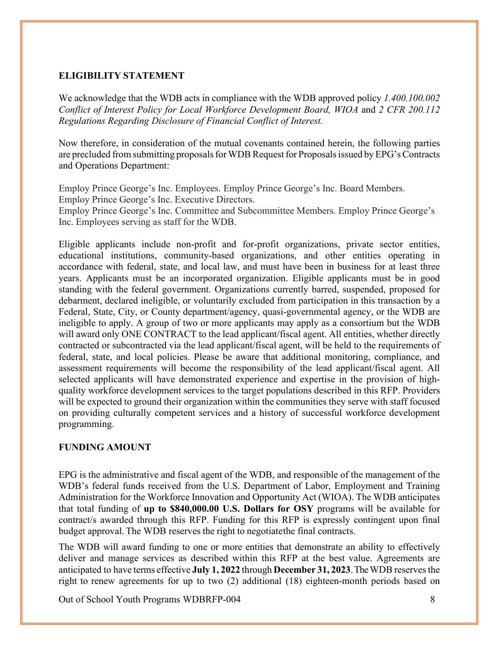#### <span id="page-7-0"></span>**ELIGIBILITY STATEMENT**

We acknowledge that the WDB acts in compliance with the WDB approved policy *1.400.100.002 Conflict of Interest Policy for Local Workforce Development Board, WIOA* and *2 CFR 200.112 Regulations Regarding Disclosure of Financial Conflict of Interest.*

Now therefore, in consideration of the mutual covenants contained herein, the following parties are precluded from submitting proposals for WDB Request for Proposals issued by EPG's Contracts and Operations Department:

Employ Prince George's Inc. Employees. Employ Prince George's Inc. Board Members. Employ Prince George's Inc. Executive Directors. Employ Prince George's Inc. Committee and Subcommittee Members. Employ Prince George's Inc. Employees serving as staff for the WDB.

Eligible applicants include non-profit and for-profit organizations, private sector entities, educational institutions, community-based organizations, and other entities operating in accordance with federal, state, and local law, and must have been in business for at least three years. Applicants must be an incorporated organization. Eligible applicants must be in good standing with the federal government. Organizations currently barred, suspended, proposed for debarment, declared ineligible, or voluntarily excluded from participation in this transaction by a Federal, State, City, or County department/agency, quasi-governmental agency, or the WDB are ineligible to apply. A group of two or more applicants may apply as a consortium but the WDB will award only ONE CONTRACT to the lead applicant/fiscal agent. All entities, whether directly contracted or subcontracted via the lead applicant/fiscal agent, will be held to the requirements of federal, state, and local policies. Please be aware that additional monitoring, compliance, and assessment requirements will become the responsibility of the lead applicant/fiscal agent. All selected applicants will have demonstrated experience and expertise in the provision of highquality workforce development services to the target populations described in this RFP. Providers will be expected to ground their organization within the communities they serve with staff focused on providing culturally competent services and a history of successful workforce development programming.

#### <span id="page-7-1"></span>**FUNDING AMOUNT**

EPG is the administrative and fiscal agent of the WDB, and responsible of the management of the WDB's federal funds received from the U.S. Department of Labor, Employment and Training Administration for the Workforce Innovation and Opportunity Act (WIOA). The WDB anticipates that total funding of **up to \$840,000.00 U.S. Dollars for OSY** programs will be available for contract/s awarded through this RFP. Funding for this RFP is expressly contingent upon final budget approval. The WDB reserves the right to negotiatethe final contracts.

The WDB will award funding to one or more entities that demonstrate an ability to effectively deliver and manage services as described within this RFP at the best value. Agreements are anticipated to have terms effective **July 1, 2022** through **December 31, 2023**. TheWDB reservesthe right to renew agreements for up to two (2) additional (18) eighteen-month periods based on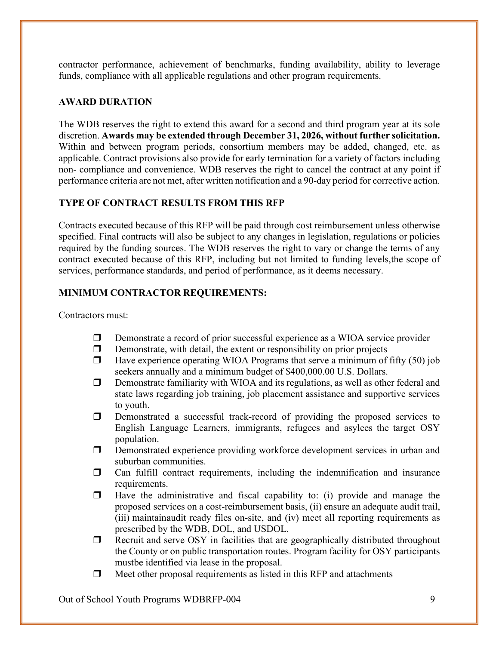contractor performance, achievement of benchmarks, funding availability, ability to leverage funds, compliance with all applicable regulations and other program requirements.

## <span id="page-8-0"></span>**AWARD DURATION**

The WDB reserves the right to extend this award for a second and third program year at its sole discretion. **Awards may be extended through December 31, 2026, without further solicitation.** Within and between program periods, consortium members may be added, changed, etc. as applicable. Contract provisions also provide for early termination for a variety of factors including non- compliance and convenience. WDB reserves the right to cancel the contract at any point if performance criteria are not met, after written notification and a 90-day period for corrective action.

#### <span id="page-8-1"></span>**TYPE OF CONTRACT RESULTS FROM THIS RFP**

Contracts executed because of this RFP will be paid through cost reimbursement unless otherwise specified. Final contracts will also be subject to any changes in legislation, regulations or policies required by the funding sources. The WDB reserves the right to vary or change the terms of any contract executed because of this RFP, including but not limited to funding levels,the scope of services, performance standards, and period of performance, as it deems necessary.

## <span id="page-8-2"></span>**MINIMUM CONTRACTOR REQUIREMENTS:**

Contractors must:

- Demonstrate a record of prior successful experience as a WIOA service provider
- $\Box$  Demonstrate, with detail, the extent or responsibility on prior projects
- $\Box$  Have experience operating WIOA Programs that serve a minimum of fifty (50) job seekers annually and a minimum budget of \$400,000.00 U.S. Dollars.
- $\Box$  Demonstrate familiarity with WIOA and its regulations, as well as other federal and state laws regarding job training, job placement assistance and supportive services to youth.
- Demonstrated a successful track-record of providing the proposed services to English Language Learners, immigrants, refugees and asylees the target OSY population.
- Demonstrated experience providing workforce development services in urban and suburban communities.
- $\Box$  Can fulfill contract requirements, including the indemnification and insurance requirements.
- $\Box$  Have the administrative and fiscal capability to: (i) provide and manage the proposed services on a cost-reimbursement basis, (ii) ensure an adequate audit trail, (iii) maintainaudit ready files on-site, and (iv) meet all reporting requirements as prescribed by the WDB, DOL, and USDOL.
- $\Box$  Recruit and serve OSY in facilities that are geographically distributed throughout the County or on public transportation routes. Program facility for OSY participants mustbe identified via lease in the proposal.
- $\Box$  Meet other proposal requirements as listed in this RFP and attachments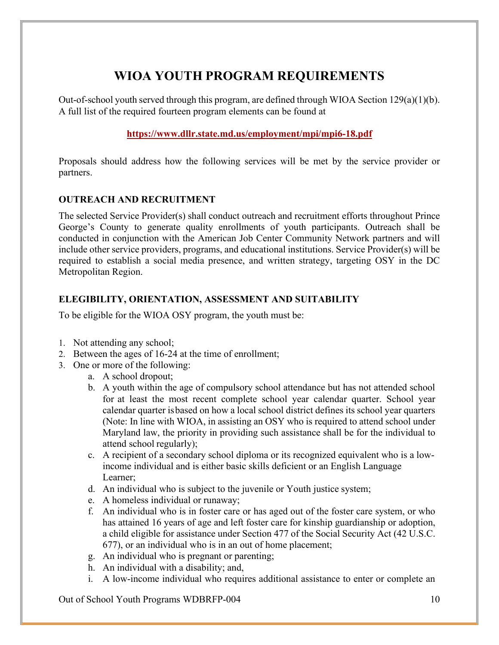# **WIOA YOUTH PROGRAM REQUIREMENTS**

<span id="page-9-0"></span>Out-of-school youth served through this program, are defined through WIOA Section  $129(a)(1)(b)$ . A full list of the required fourteen program elements can be found at

# **<https://www.dllr.state.md.us/employment/mpi/mpi6-18.pdf>**

Proposals should address how the following services will be met by the service provider or partners.

## <span id="page-9-1"></span>**OUTREACH AND RECRUITMENT**

The selected Service Provider(s) shall conduct outreach and recruitment efforts throughout Prince George's County to generate quality enrollments of youth participants. Outreach shall be conducted in conjunction with the American Job Center Community Network partners and will include other service providers, programs, and educational institutions. Service Provider(s) will be required to establish a social media presence, and written strategy, targeting OSY in the DC Metropolitan Region.

## <span id="page-9-2"></span>**ELEGIBILITY, ORIENTATION, ASSESSMENT AND SUITABILITY**

To be eligible for the WIOA OSY program, the youth must be:

- 1. Not attending any school;
- 2. Between the ages of 16-24 at the time of enrollment;
- 3. One or more of the following:
	- a. A school dropout;
	- b. A youth within the age of compulsory school attendance but has not attended school for at least the most recent complete school year calendar quarter. School year calendar quarter isbased on how a local school district defines its school year quarters (Note: In line with WIOA, in assisting an OSY who is required to attend school under Maryland law, the priority in providing such assistance shall be for the individual to attend school regularly);
	- c. A recipient of a secondary school diploma or its recognized equivalent who is a lowincome individual and is either basic skills deficient or an English Language Learner;
	- d. An individual who is subject to the juvenile or Youth justice system;
	- e. A homeless individual or runaway;
	- f. An individual who is in foster care or has aged out of the foster care system, or who has attained 16 years of age and left foster care for kinship guardianship or adoption, a child eligible for assistance under Section 477 of the Social Security Act (42 U.S.C. 677), or an individual who is in an out of home placement;
	- g. An individual who is pregnant or parenting;
	- h. An individual with a disability; and,
	- i. A low-income individual who requires additional assistance to enter or complete an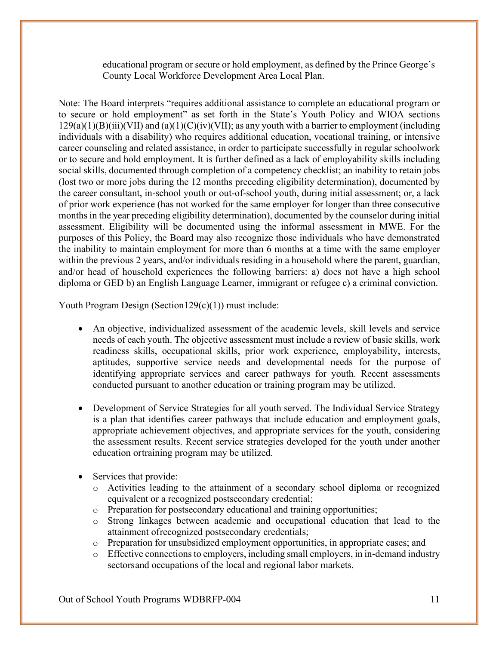educational program or secure or hold employment, as defined by the Prince George's County Local Workforce Development Area Local Plan.

Note: The Board interprets "requires additional assistance to complete an educational program or to secure or hold employment" as set forth in the State's Youth Policy and WIOA sections  $129(a)(1)(B)(iii)(VII)$  and  $(a)(1)(C)(iv)(VII)$ ; as any youth with a barrier to employment (including individuals with a disability) who requires additional education, vocational training, or intensive career counseling and related assistance, in order to participate successfully in regular schoolwork or to secure and hold employment. It is further defined as a lack of employability skills including social skills, documented through completion of a competency checklist; an inability to retain jobs (lost two or more jobs during the 12 months preceding eligibility determination), documented by the career consultant, in-school youth or out-of-school youth, during initial assessment; or, a lack of prior work experience (has not worked for the same employer for longer than three consecutive months in the year preceding eligibility determination), documented by the counselor during initial assessment. Eligibility will be documented using the informal assessment in MWE. For the purposes of this Policy, the Board may also recognize those individuals who have demonstrated the inability to maintain employment for more than 6 months at a time with the same employer within the previous 2 years, and/or individuals residing in a household where the parent, guardian, and/or head of household experiences the following barriers: a) does not have a high school diploma or GED b) an English Language Learner, immigrant or refugee c) a criminal conviction.

Youth Program Design (Section129(c)(1)) must include:

- An objective, individualized assessment of the academic levels, skill levels and service needs of each youth. The objective assessment must include a review of basic skills, work readiness skills, occupational skills, prior work experience, employability, interests, aptitudes, supportive service needs and developmental needs for the purpose of identifying appropriate services and career pathways for youth. Recent assessments conducted pursuant to another education or training program may be utilized.
- Development of Service Strategies for all youth served. The Individual Service Strategy is a plan that identifies career pathways that include education and employment goals, appropriate achievement objectives, and appropriate services for the youth, considering the assessment results. Recent service strategies developed for the youth under another education ortraining program may be utilized.
- Services that provide:
	- o Activities leading to the attainment of a secondary school diploma or recognized equivalent or a recognized postsecondary credential;
	- o Preparation for postsecondary educational and training opportunities;
	- o Strong linkages between academic and occupational education that lead to the attainment ofrecognized postsecondary credentials;
	- o Preparation for unsubsidized employment opportunities, in appropriate cases; and
	- $\circ$  Effective connections to employers, including small employers, in in-demand industry sectorsand occupations of the local and regional labor markets.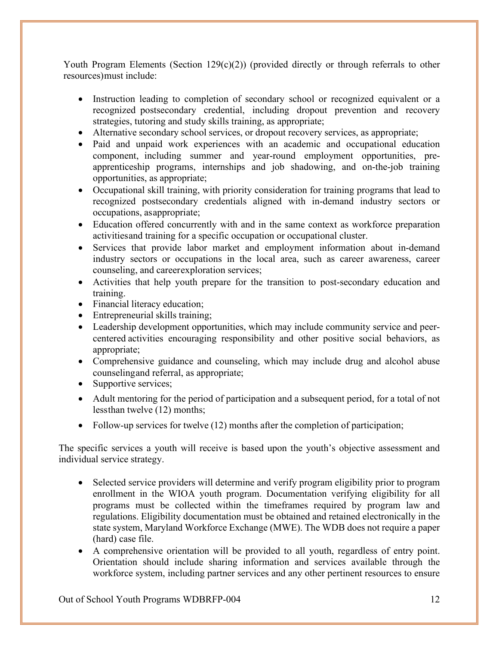Youth Program Elements (Section  $129(c)(2)$ ) (provided directly or through referrals to other resources)must include:

- Instruction leading to completion of secondary school or recognized equivalent or a recognized postsecondary credential, including dropout prevention and recovery strategies, tutoring and study skills training, as appropriate;
- Alternative secondary school services, or dropout recovery services, as appropriate;
- Paid and unpaid work experiences with an academic and occupational education component, including summer and year-round employment opportunities, preapprenticeship programs, internships and job shadowing, and on-the-job training opportunities, as appropriate;
- Occupational skill training, with priority consideration for training programs that lead to recognized postsecondary credentials aligned with in-demand industry sectors or occupations, asappropriate;
- Education offered concurrently with and in the same context as workforce preparation activitiesand training for a specific occupation or occupational cluster.
- Services that provide labor market and employment information about in-demand industry sectors or occupations in the local area, such as career awareness, career counseling, and careerexploration services;
- Activities that help youth prepare for the transition to post-secondary education and training.
- Financial literacy education;
- Entrepreneurial skills training;
- Leadership development opportunities, which may include community service and peercentered activities encouraging responsibility and other positive social behaviors, as appropriate;
- Comprehensive guidance and counseling, which may include drug and alcohol abuse counselingand referral, as appropriate;
- Supportive services;
- Adult mentoring for the period of participation and a subsequent period, for a total of not lessthan twelve (12) months;
- Follow-up services for twelve (12) months after the completion of participation;

The specific services a youth will receive is based upon the youth's objective assessment and individual service strategy.

- Selected service providers will determine and verify program eligibility prior to program enrollment in the WIOA youth program. Documentation verifying eligibility for all programs must be collected within the timeframes required by program law and regulations. Eligibility documentation must be obtained and retained electronically in the state system, Maryland Workforce Exchange (MWE). The WDB does not require a paper (hard) case file.
- A comprehensive orientation will be provided to all youth, regardless of entry point. Orientation should include sharing information and services available through the workforce system, including partner services and any other pertinent resources to ensure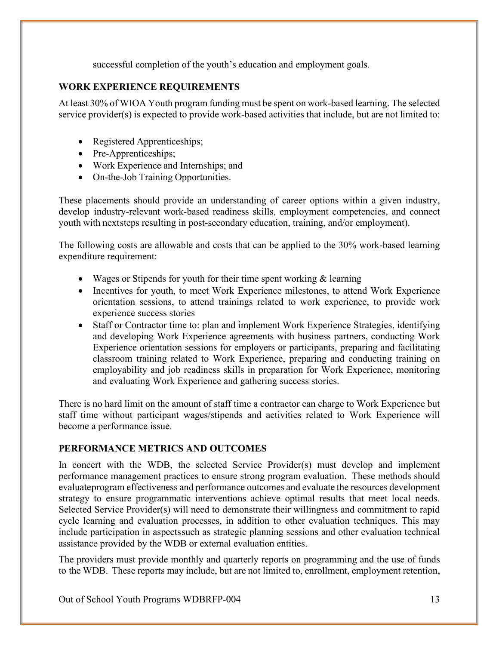successful completion of the youth's education and employment goals.

# <span id="page-12-0"></span>**WORK EXPERIENCE REQUIREMENTS**

At least 30% of WIOA Youth program funding must be spent on work-based learning. The selected service provider(s) is expected to provide work-based activities that include, but are not limited to:

- Registered Apprenticeships;
- Pre-Apprenticeships;
- Work Experience and Internships; and
- On-the-Job Training Opportunities.

These placements should provide an understanding of career options within a given industry, develop industry-relevant work-based readiness skills, employment competencies, and connect youth with nextsteps resulting in post-secondary education, training, and/or employment).

The following costs are allowable and costs that can be applied to the 30% work-based learning expenditure requirement:

- Wages or Stipends for youth for their time spent working & learning
- Incentives for youth, to meet Work Experience milestones, to attend Work Experience orientation sessions, to attend trainings related to work experience, to provide work experience success stories
- Staff or Contractor time to: plan and implement Work Experience Strategies, identifying and developing Work Experience agreements with business partners, conducting Work Experience orientation sessions for employers or participants, preparing and facilitating classroom training related to Work Experience, preparing and conducting training on employability and job readiness skills in preparation for Work Experience, monitoring and evaluating Work Experience and gathering success stories.

There is no hard limit on the amount of staff time a contractor can charge to Work Experience but staff time without participant wages/stipends and activities related to Work Experience will become a performance issue.

# <span id="page-12-1"></span>**PERFORMANCE METRICS AND OUTCOMES**

In concert with the WDB, the selected Service Provider(s) must develop and implement performance management practices to ensure strong program evaluation. These methods should evaluateprogram effectiveness and performance outcomes and evaluate the resources development strategy to ensure programmatic interventions achieve optimal results that meet local needs. Selected Service Provider(s) will need to demonstrate their willingness and commitment to rapid cycle learning and evaluation processes, in addition to other evaluation techniques. This may include participation in aspectssuch as strategic planning sessions and other evaluation technical assistance provided by the WDB or external evaluation entities.

The providers must provide monthly and quarterly reports on programming and the use of funds to the WDB. These reports may include, but are not limited to, enrollment, employment retention,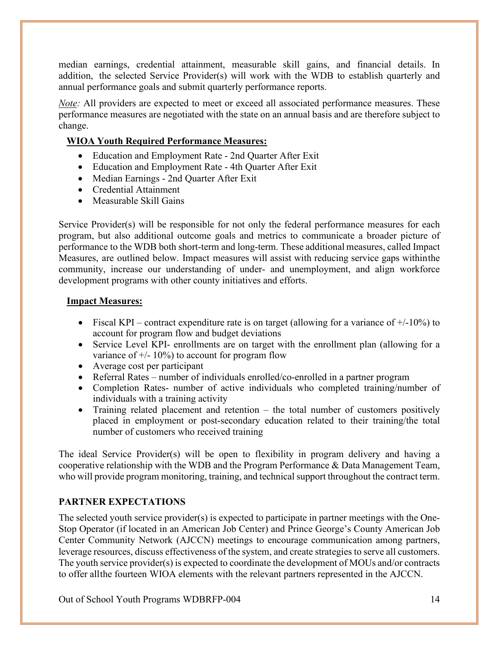median earnings, credential attainment, measurable skill gains, and financial details. In addition, the selected Service Provider(s) will work with the WDB to establish quarterly and annual performance goals and submit quarterly performance reports.

*Note*: All providers are expected to meet or exceed all associated performance measures. These performance measures are negotiated with the state on an annual basis and are therefore subject to change.

# **WIOA Youth Required Performance Measures:**

- Education and Employment Rate 2nd Quarter After Exit
- Education and Employment Rate 4th Quarter After Exit
- Median Earnings 2nd Quarter After Exit
- Credential Attainment
- Measurable Skill Gains

Service Provider(s) will be responsible for not only the federal performance measures for each program, but also additional outcome goals and metrics to communicate a broader picture of performance to the WDB both short-term and long-term. These additional measures, called Impact Measures, are outlined below. Impact measures will assist with reducing service gaps withinthe community, increase our understanding of under- and unemployment, and align workforce development programs with other county initiatives and efforts.

## **Impact Measures:**

- Fiscal KPI contract expenditure rate is on target (allowing for a variance of  $+/-10\%$ ) to account for program flow and budget deviations
- Service Level KPI- enrollments are on target with the enrollment plan (allowing for a variance of  $\pm$ /- 10%) to account for program flow
- Average cost per participant
- Referral Rates number of individuals enrolled/co-enrolled in a partner program
- Completion Rates- number of active individuals who completed training/number of individuals with a training activity
- Training related placement and retention the total number of customers positively placed in employment or post-secondary education related to their training/the total number of customers who received training

The ideal Service Provider(s) will be open to flexibility in program delivery and having a cooperative relationship with the WDB and the Program Performance & Data Management Team, who will provide program monitoring, training, and technical support throughout the contract term.

# <span id="page-13-0"></span>**PARTNER EXPECTATIONS**

The selected youth service provider(s) is expected to participate in partner meetings with the One-Stop Operator (if located in an American Job Center) and Prince George's County American Job Center Community Network (AJCCN) meetings to encourage communication among partners, leverage resources, discuss effectiveness of the system, and create strategies to serve all customers. The youth service provider(s) is expected to coordinate the development of MOUs and/or contracts to offer allthe fourteen WIOA elements with the relevant partners represented in the AJCCN.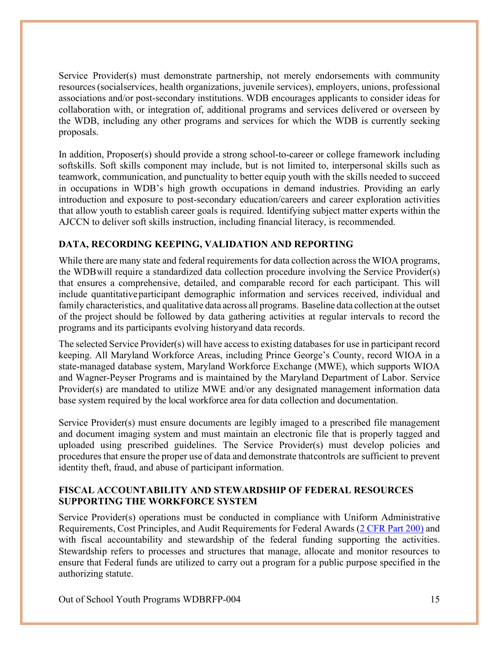Service Provider(s) must demonstrate partnership, not merely endorsements with community resources(socialservices, health organizations, juvenile services), employers, unions, professional associations and/or post-secondary institutions. WDB encourages applicants to consider ideas for collaboration with, or integration of, additional programs and services delivered or overseen by the WDB, including any other programs and services for which the WDB is currently seeking proposals.

In addition, Proposer(s) should provide a strong school-to-career or college framework including softskills. Soft skills component may include, but is not limited to, interpersonal skills such as teamwork, communication, and punctuality to better equip youth with the skills needed to succeed in occupations in WDB's high growth occupations in demand industries. Providing an early introduction and exposure to post-secondary education/careers and career exploration activities that allow youth to establish career goals is required. Identifying subject matter experts within the AJCCN to deliver soft skills instruction, including financial literacy, is recommended.

# <span id="page-14-0"></span>**DATA, RECORDING KEEPING, VALIDATION AND REPORTING**

While there are many state and federal requirements for data collection across the WIOA programs, the WDBwill require a standardized data collection procedure involving the Service Provider(s) that ensures a comprehensive, detailed, and comparable record for each participant. This will include quantitativeparticipant demographic information and services received, individual and family characteristics, and qualitative data across all programs. Baseline data collection at the outset of the project should be followed by data gathering activities at regular intervals to record the programs and its participants evolving historyand data records.

The selected Service Provider(s) will have access to existing databases for use in participant record keeping. All Maryland Workforce Areas, including Prince George's County, record WIOA in a state-managed database system, Maryland Workforce Exchange (MWE), which supports WIOA and Wagner-Peyser Programs and is maintained by the Maryland Department of Labor. Service Provider(s) are mandated to utilize MWE and/or any designated management information data base system required by the local workforce area for data collection and documentation.

Service Provider(s) must ensure documents are legibly imaged to a prescribed file management and document imaging system and must maintain an electronic file that is properly tagged and uploaded using prescribed guidelines. The Service Provider(s) must develop policies and procedures that ensure the proper use of data and demonstrate thatcontrols are sufficient to prevent identity theft, fraud, and abuse of participant information.

#### <span id="page-14-1"></span>**FISCAL ACCOUNTABILITY AND STEWARDSHIP OF FEDERAL RESOURCES SUPPORTING THE WORKFORCE SYSTEM**

Service Provider(s) operations must be conducted in compliance with Uniform Administrative Requirements, Cost Principles, and Audit Requirements for Federal Awards (2 [CFR](http://www.ecfr.gov/cgi-bin/text-idx?SID=c6259f3b5bd125ddb50bcd723357b000&mc=true&node=pt2.1.200&rgn=div5) Part 200) and with fiscal accountability and stewardship of the federal funding supporting the activities. Stewardship refers to processes and structures that manage, allocate and monitor resources to ensure that Federal funds are utilized to carry out a program for a public purpose specified in the authorizing statute.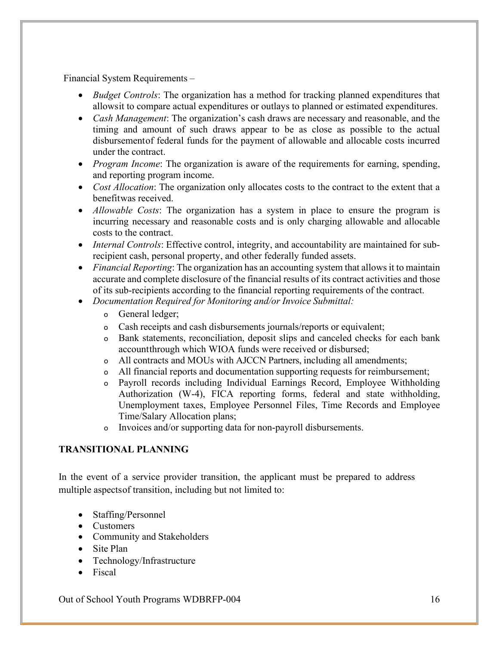Financial System Requirements –

- *Budget Controls*: The organization has a method for tracking planned expenditures that allowsit to compare actual expenditures or outlays to planned or estimated expenditures.
- *Cash Management*: The organization's cash draws are necessary and reasonable, and the timing and amount of such draws appear to be as close as possible to the actual disbursementof federal funds for the payment of allowable and allocable costs incurred under the contract.
- *Program Income*: The organization is aware of the requirements for earning, spending, and reporting program income.
- *Cost Allocation*: The organization only allocates costs to the contract to the extent that a benefitwas received.
- *Allowable Costs*: The organization has a system in place to ensure the program is incurring necessary and reasonable costs and is only charging allowable and allocable costs to the contract.
- *Internal Controls*: Effective control, integrity, and accountability are maintained for subrecipient cash, personal property, and other federally funded assets.
- *Financial Reporting*: The organization has an accounting system that allows it to maintain accurate and complete disclosure of the financial results of its contract activities and those of its sub-recipients according to the financial reporting requirements of the contract.
- *Documentation Required for Monitoring and/or Invoice Submittal:*
	- o General ledger;
	- o Cash receipts and cash disbursements journals/reports or equivalent;
	- o Bank statements, reconciliation, deposit slips and canceled checks for each bank accountthrough which WIOA funds were received or disbursed;
	- o All contracts and MOUs with AJCCN Partners, including all amendments;
	- o All financial reports and documentation supporting requests for reimbursement;
	- o Payroll records including Individual Earnings Record, Employee Withholding Authorization (W-4), FICA reporting forms, federal and state withholding, Unemployment taxes, Employee Personnel Files, Time Records and Employee Time/Salary Allocation plans;
	- o Invoices and/or supporting data for non-payroll disbursements.

## <span id="page-15-0"></span>**TRANSITIONAL PLANNING**

In the event of a service provider transition, the applicant must be prepared to address multiple aspectsof transition, including but not limited to:

- Staffing/Personnel
- Customers
- Community and Stakeholders
- Site Plan
- Technology/Infrastructure
- Fiscal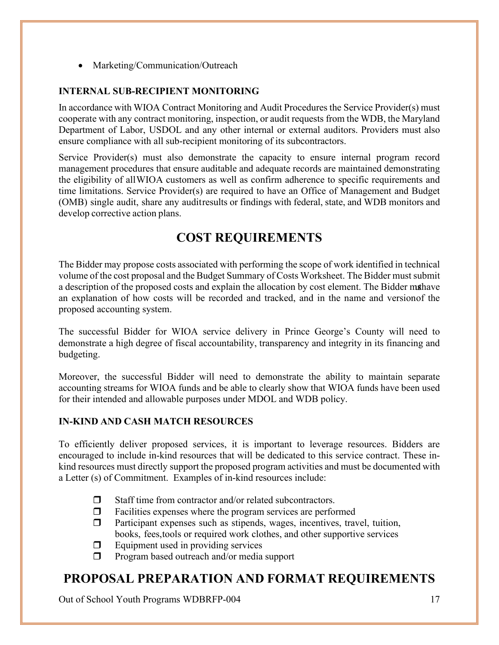• Marketing/Communication/Outreach

## <span id="page-16-0"></span>**INTERNAL SUB-RECIPIENT MONITORING**

In accordance with WIOA Contract Monitoring and Audit Procedures the Service Provider(s) must cooperate with any contract monitoring, inspection, or audit requests from the WDB, the Maryland Department of Labor, USDOL and any other internal or external auditors. Providers must also ensure compliance with all sub-recipient monitoring of its subcontractors.

Service Provider(s) must also demonstrate the capacity to ensure internal program record management procedures that ensure auditable and adequate records are maintained demonstrating the eligibility of allWIOA customers as well as confirm adherence to specific requirements and time limitations. Service Provider(s) are required to have an Office of Management and Budget (OMB) single audit, share any auditresults or findings with federal, state, and WDB monitors and develop corrective action plans.

# **COST REQUIREMENTS**

<span id="page-16-1"></span>The Bidder may propose costs associated with performing the scope of work identified in technical volume of the cost proposal and the Budget Summary of Costs Worksheet. The Bidder mustsubmit a description of the proposed costs and explain the allocation by cost element. The Bidder mathave an explanation of how costs will be recorded and tracked, and in the name and versionof the proposed accounting system.

The successful Bidder for WIOA service delivery in Prince George's County will need to demonstrate a high degree of fiscal accountability, transparency and integrity in its financing and budgeting.

Moreover, the successful Bidder will need to demonstrate the ability to maintain separate accounting streams for WIOA funds and be able to clearly show that WIOA funds have been used for their intended and allowable purposes under MDOL and WDB policy.

#### <span id="page-16-2"></span>**IN-KIND AND CASH MATCH RESOURCES**

To efficiently deliver proposed services, it is important to leverage resources. Bidders are encouraged to include in-kind resources that will be dedicated to this service contract. These inkind resources must directly support the proposed program activities and must be documented with a Letter (s) of Commitment. Examples of in-kind resources include:

- $\Box$  Staff time from contractor and/or related subcontractors.
- $\Box$  Facilities expenses where the program services are performed
- $\Box$  Participant expenses such as stipends, wages, incentives, travel, tuition, books, fees,tools or required work clothes, and other supportive services
- $\Box$  Equipment used in providing services
- $\Box$  Program based outreach and/or media support

# <span id="page-16-3"></span>**PROPOSAL PREPARATION AND FORMAT REQUIREMENTS**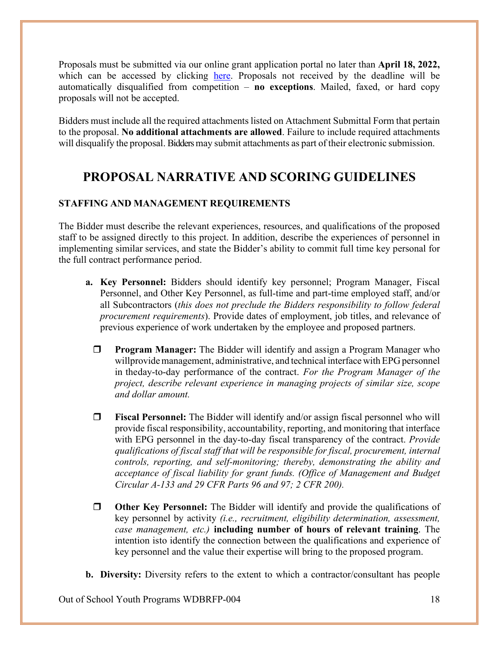Proposals must be submitted via our online grant application portal no later than **April 18, 2022,**  which can be accessed by clicking [here.](https://www.grantrequest.com/SID_6250?SA=SNA&FID=35008) Proposals not received by the deadline will be automatically disqualified from competition – **no exceptions**. Mailed, faxed, or hard copy proposals will not be accepted.

Bidders must include all the required attachments listed on Attachment Submittal Form that pertain to the proposal. **No additional attachments are allowed**. Failure to include required attachments will disqualify the proposal. Bidders may submit attachments as part of their electronic submission.

# <span id="page-17-0"></span>**PROPOSAL NARRATIVE AND SCORING GUIDELINES**

## **STAFFING AND MANAGEMENT REQUIREMENTS**

The Bidder must describe the relevant experiences, resources, and qualifications of the proposed staff to be assigned directly to this project. In addition, describe the experiences of personnel in implementing similar services, and state the Bidder's ability to commit full time key personal for the full contract performance period.

- **a. Key Personnel:** Bidders should identify key personnel; Program Manager, Fiscal Personnel, and Other Key Personnel, as full-time and part-time employed staff, and/or all Subcontractors (*this does not preclude the Bidders responsibility to follow federal procurement requirements*). Provide dates of employment, job titles, and relevance of previous experience of work undertaken by the employee and proposed partners.
	- **Program Manager:** The Bidder will identify and assign a Program Manager who willprovide management, administrative, and technical interface with EPG personnel in theday-to-day performance of the contract. *For the Program Manager of the project, describe relevant experience in managing projects of similar size, scope and dollar amount.*
	- **Fiscal Personnel:** The Bidder will identify and/or assign fiscal personnel who will provide fiscal responsibility, accountability, reporting, and monitoring that interface with EPG personnel in the day-to-day fiscal transparency of the contract. *Provide qualifications of fiscal staff that will be responsible for fiscal, procurement, internal controls, reporting, and self-monitoring; thereby, demonstrating the ability and acceptance of fiscal liability for grant funds. (Office of Management and Budget Circular A-133 and 29 CFR Parts 96 and 97; 2 CFR 200).*
	- **Other Key Personnel:** The Bidder will identify and provide the qualifications of key personnel by activity *(i.e., recruitment, eligibility determination, assessment, case management, etc.)* **including number of hours of relevant training**. The intention isto identify the connection between the qualifications and experience of key personnel and the value their expertise will bring to the proposed program.
- **b. Diversity:** Diversity refers to the extent to which a contractor/consultant has people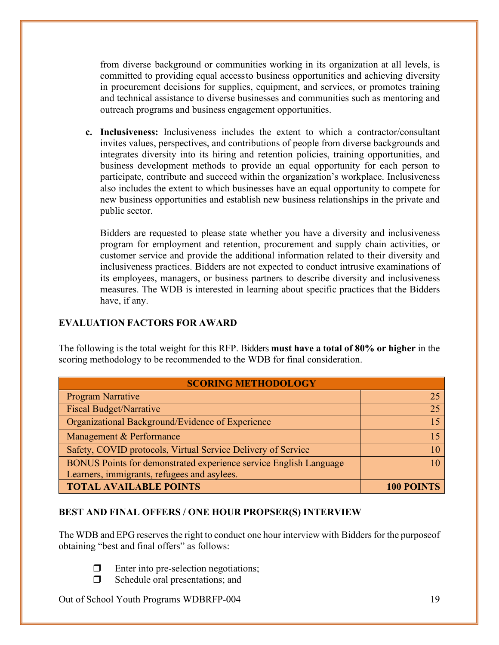from diverse background or communities working in its organization at all levels, is committed to providing equal accessto business opportunities and achieving diversity in procurement decisions for supplies, equipment, and services, or promotes training and technical assistance to diverse businesses and communities such as mentoring and outreach programs and business engagement opportunities.

**c. Inclusiveness:** Inclusiveness includes the extent to which a contractor/consultant invites values, perspectives, and contributions of people from diverse backgrounds and integrates diversity into its hiring and retention policies, training opportunities, and business development methods to provide an equal opportunity for each person to participate, contribute and succeed within the organization's workplace. Inclusiveness also includes the extent to which businesses have an equal opportunity to compete for new business opportunities and establish new business relationships in the private and public sector.

Bidders are requested to please state whether you have a diversity and inclusiveness program for employment and retention, procurement and supply chain activities, or customer service and provide the additional information related to their diversity and inclusiveness practices. Bidders are not expected to conduct intrusive examinations of its employees, managers, or business partners to describe diversity and inclusiveness measures. The WDB is interested in learning about specific practices that the Bidders have, if any.

#### <span id="page-18-0"></span>**EVALUATION FACTORS FOR AWARD**

The following is the total weight for this RFP. Bidders **must have a total of 80% or higher** in the scoring methodology to be recommended to the WDB for final consideration.

| <b>SCORING METHODOLOGY</b>                                        |                   |  |
|-------------------------------------------------------------------|-------------------|--|
| <b>Program Narrative</b>                                          |                   |  |
| <b>Fiscal Budget/Narrative</b>                                    | 25                |  |
| Organizational Background/Evidence of Experience                  |                   |  |
| Management & Performance                                          |                   |  |
| Safety, COVID protocols, Virtual Service Delivery of Service      |                   |  |
| BONUS Points for demonstrated experience service English Language |                   |  |
| Learners, immigrants, refugees and asylees.                       |                   |  |
| <b>TOTAL AVAILABLE POINTS</b>                                     | <b>100 POINTS</b> |  |

#### <span id="page-18-1"></span>**BEST AND FINAL OFFERS / ONE HOUR PROPSER(S) INTERVIEW**

The WDB and EPG reserves the right to conduct one hour interview with Bidders for the purpose of obtaining "best and final offers" as follows:

- 
- **Enter into pre-selection negotiations;**  $\Box$  Schedule oral presentations; and
- Out of School Youth Programs WDBRFP-004 19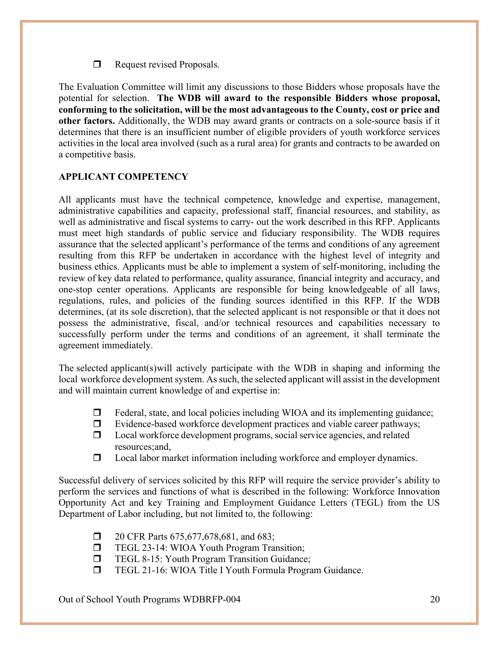Request revised Proposals.

The Evaluation Committee will limit any discussions to those Bidders whose proposals have the potential for selection. **The WDB will award to the responsible Bidders whose proposal, conforming to the solicitation, will be the most advantageous to the County, cost or price and other factors.** Additionally, the WDB may award grants or contracts on a sole-source basis if it determines that there is an insufficient number of eligible providers of youth workforce services activities in the local area involved (such as a rural area) for grants and contracts to be awarded on a competitive basis.

## <span id="page-19-0"></span>**APPLICANT COMPETENCY**

All applicants must have the technical competence, knowledge and expertise, management, administrative capabilities and capacity, professional staff, financial resources, and stability, as well as administrative and fiscal systems to carry- out the work described in this RFP. Applicants must meet high standards of public service and fiduciary responsibility. The WDB requires assurance that the selected applicant's performance of the terms and conditions of any agreement resulting from this RFP be undertaken in accordance with the highest level of integrity and business ethics. Applicants must be able to implement a system of self-monitoring, including the review of key data related to performance, quality assurance, financial integrity and accuracy, and one-stop center operations. Applicants are responsible for being knowledgeable of all laws, regulations, rules, and policies of the funding sources identified in this RFP. If the WDB determines, (at its sole discretion), that the selected applicant is not responsible or that it does not possess the administrative, fiscal, and/or technical resources and capabilities necessary to successfully perform under the terms and conditions of an agreement, it shall terminate the agreement immediately.

The selected applicant(s)will actively participate with the WDB in shaping and informing the local workforce development system. As such, the selected applicant will assist in the development and will maintain current knowledge of and expertise in:

- $\Box$  Federal, state, and local policies including WIOA and its implementing guidance;
- $\Box$  Evidence-based workforce development practices and viable career pathways;
- $\Box$  Local workforce development programs, social service agencies, and related resources;and,
- $\Box$  Local labor market information including workforce and employer dynamics.

Successful delivery of services solicited by this RFP will require the service provider's ability to perform the services and functions of what is described in the following: Workforce Innovation Opportunity Act and key Training and Employment Guidance Letters (TEGL) from the US Department of Labor including, but not limited to, the following:

- **1** 20 CFR Parts 675,677,678,681, and 683;
- **TEGL 23-14: WIOA Youth Program Transition;**
- **TEGL 8-15: Youth Program Transition Guidance;**
- TEGL 21-16: WIOA Title I Youth Formula Program Guidance.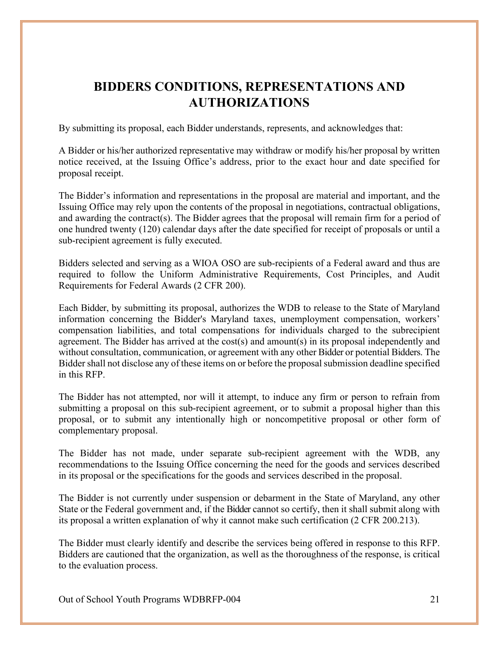# <span id="page-20-0"></span>**BIDDERS CONDITIONS, REPRESENTATIONS AND AUTHORIZATIONS**

By submitting its proposal, each Bidder understands, represents, and acknowledges that:

A Bidder or his/her authorized representative may withdraw or modify his/her proposal by written notice received, at the Issuing Office's address, prior to the exact hour and date specified for proposal receipt.

The Bidder's information and representations in the proposal are material and important, and the Issuing Office may rely upon the contents of the proposal in negotiations, contractual obligations, and awarding the contract(s). The Bidder agrees that the proposal will remain firm for a period of one hundred twenty (120) calendar days after the date specified for receipt of proposals or until a sub-recipient agreement is fully executed.

Bidders selected and serving as a WIOA OSO are sub-recipients of a Federal award and thus are required to follow the Uniform Administrative Requirements, Cost Principles, and Audit Requirements for Federal Awards (2 CFR 200).

Each Bidder, by submitting its proposal, authorizes the WDB to release to the State of Maryland information concerning the Bidder's Maryland taxes, unemployment compensation, workers' compensation liabilities, and total compensations for individuals charged to the subrecipient agreement. The Bidder has arrived at the cost(s) and amount(s) in its proposal independently and without consultation, communication, or agreement with any other Bidder or potential Bidders. The Bidder shall not disclose any of these items on or before the proposal submission deadline specified in this RFP.

The Bidder has not attempted, nor will it attempt, to induce any firm or person to refrain from submitting a proposal on this sub-recipient agreement, or to submit a proposal higher than this proposal, or to submit any intentionally high or noncompetitive proposal or other form of complementary proposal.

The Bidder has not made, under separate sub-recipient agreement with the WDB, any recommendations to the Issuing Office concerning the need for the goods and services described in its proposal or the specifications for the goods and services described in the proposal.

The Bidder is not currently under suspension or debarment in the State of Maryland, any other State or the Federal government and, if the Bidder cannot so certify, then it shall submit along with its proposal a written explanation of why it cannot make such certification (2 CFR 200.213).

The Bidder must clearly identify and describe the services being offered in response to this RFP. Bidders are cautioned that the organization, as well as the thoroughness of the response, is critical to the evaluation process.